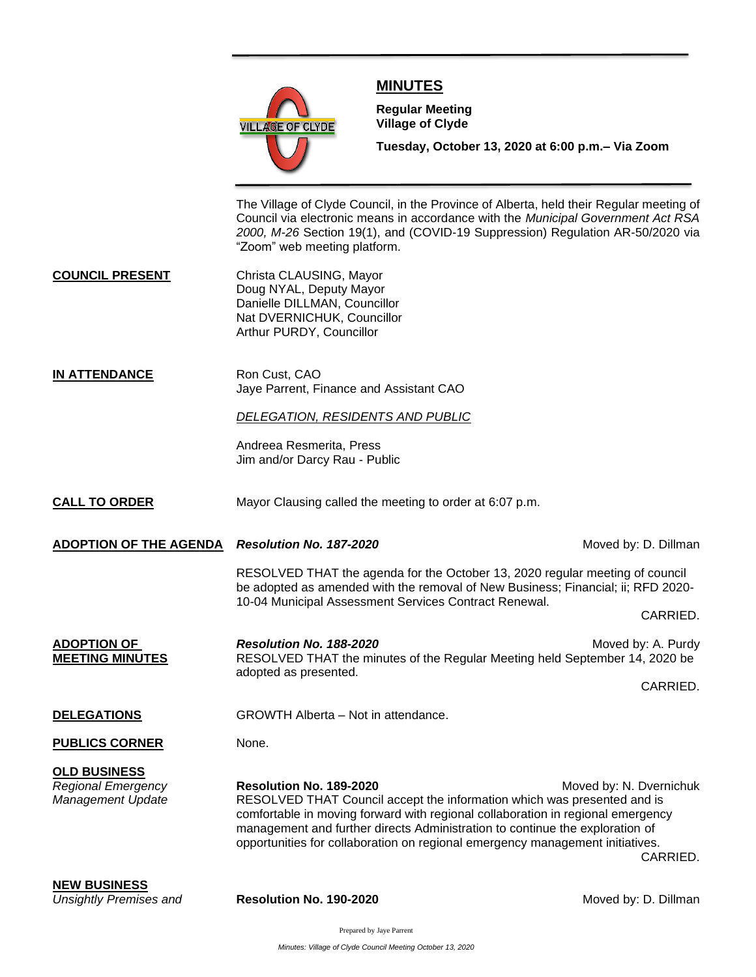

## **MINUTES**

**Meeting**

**Regular Meeting Village of Clyde**

**Tuesday, October 13, 2020 at 6:00 p.m.– Via Zoom** 

The Village of Clyde Council, in the Province of Alberta, held their Regular meeting of Council via electronic means in accordance with the *Municipal Government Act RSA 2000, M-26* Section 19(1), and (COVID-19 Suppression) Regulation AR-50/2020 via "Zoom" web meeting platform.

**COUNCIL PRESENT** Christa CLAUSING, Mayor Doug NYAL, Deputy Mayor Danielle DILLMAN, Councillor Nat DVERNICHUK, Councillor Arthur PURDY, Councillor

**IN ATTENDANCE** Ron Cust, CAO Jaye Parrent, Finance and Assistant CAO

## *DELEGATION, RESIDENTS AND PUBLIC*

Andreea Resmerita, Press Jim and/or Darcy Rau - Public

**CALL TO ORDER** Mayor Clausing called the meeting to order at 6:07 p.m.

**ADOPTION OF THE AGENDA** *Resolution No. 187-2020* **Moved by: D. Dillman** *Moved by: D. Dillman* 

RESOLVED THAT the agenda for the October 13, 2020 regular meeting of council be adopted as amended with the removal of New Business; Financial; ii; RFD 2020- 10-04 Municipal Assessment Services Contract Renewal.

CARRIED.

| <b>ADOPTION OF</b><br><b>MEETING MINUTES</b>          | <b>Resolution No. 188-2020</b><br>RESOLVED THAT the minutes of the Regular Meeting held September 14, 2020 be<br>adopted as presented.                                                                                                                                                                                                                                                        | Moved by: A. Purdy |
|-------------------------------------------------------|-----------------------------------------------------------------------------------------------------------------------------------------------------------------------------------------------------------------------------------------------------------------------------------------------------------------------------------------------------------------------------------------------|--------------------|
|                                                       |                                                                                                                                                                                                                                                                                                                                                                                               | CARRIED.           |
| <b>DELEGATIONS</b>                                    | GROWTH Alberta – Not in attendance.                                                                                                                                                                                                                                                                                                                                                           |                    |
| <b>PUBLICS CORNER</b>                                 | None.                                                                                                                                                                                                                                                                                                                                                                                         |                    |
| <b>OLD BUSINESS</b>                                   |                                                                                                                                                                                                                                                                                                                                                                                               |                    |
| <b>Regional Emergency</b><br><b>Management Update</b> | Resolution No. 189-2020<br>Moved by: N. Dvernichuk<br>RESOLVED THAT Council accept the information which was presented and is<br>comfortable in moving forward with regional collaboration in regional emergency<br>management and further directs Administration to continue the exploration of<br>opportunities for collaboration on regional emergency management initiatives.<br>CARRIED. |                    |
| <b>NEW BUSINESS</b>                                   |                                                                                                                                                                                                                                                                                                                                                                                               |                    |

*Unsightly Premises and* **<b>Resolution No. 190-2020 Moved by: D. Dillman**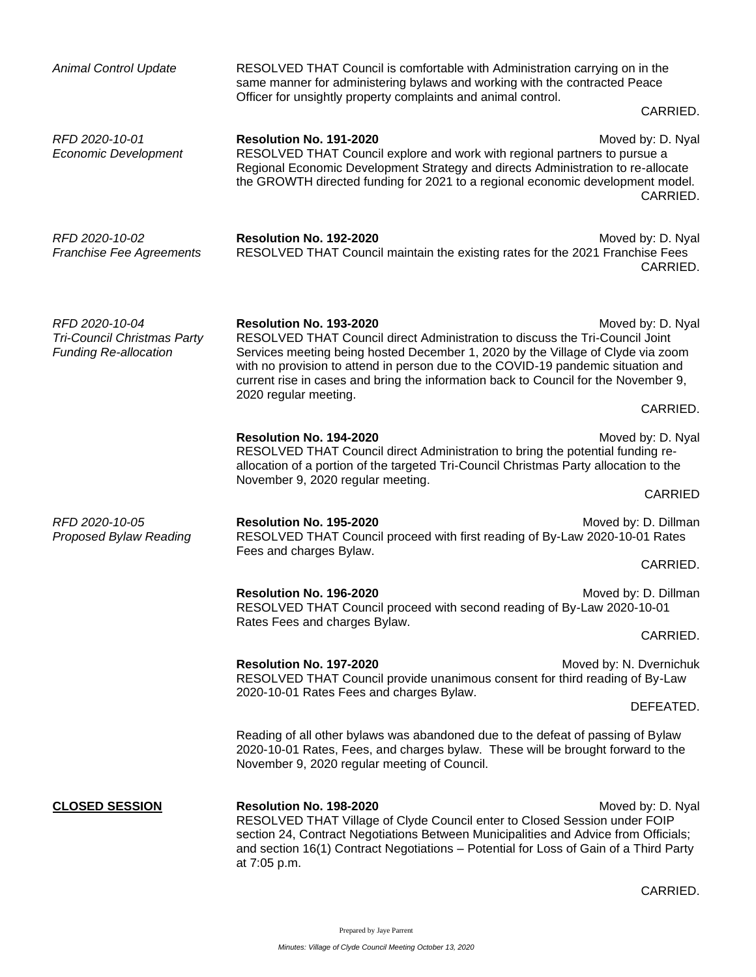| <b>Animal Control Update</b>                                                         | RESOLVED THAT Council is comfortable with Administration carrying on in the<br>same manner for administering bylaws and working with the contracted Peace<br>Officer for unsightly property complaints and animal control.                                                                                                                                                                     |                               |
|--------------------------------------------------------------------------------------|------------------------------------------------------------------------------------------------------------------------------------------------------------------------------------------------------------------------------------------------------------------------------------------------------------------------------------------------------------------------------------------------|-------------------------------|
|                                                                                      |                                                                                                                                                                                                                                                                                                                                                                                                | CARRIED.                      |
| RFD 2020-10-01<br><b>Economic Development</b>                                        | Resolution No. 191-2020<br>RESOLVED THAT Council explore and work with regional partners to pursue a<br>Regional Economic Development Strategy and directs Administration to re-allocate<br>the GROWTH directed funding for 2021 to a regional economic development model.                                                                                                                     | Moved by: D. Nyal<br>CARRIED. |
| RFD 2020-10-02<br><b>Franchise Fee Agreements</b>                                    | Resolution No. 192-2020<br>RESOLVED THAT Council maintain the existing rates for the 2021 Franchise Fees                                                                                                                                                                                                                                                                                       | Moved by: D. Nyal<br>CARRIED. |
| RFD 2020-10-04<br><b>Tri-Council Christmas Party</b><br><b>Funding Re-allocation</b> | Resolution No. 193-2020<br>RESOLVED THAT Council direct Administration to discuss the Tri-Council Joint<br>Services meeting being hosted December 1, 2020 by the Village of Clyde via zoom<br>with no provision to attend in person due to the COVID-19 pandemic situation and<br>current rise in cases and bring the information back to Council for the November 9,<br>2020 regular meeting. | Moved by: D. Nyal             |
|                                                                                      |                                                                                                                                                                                                                                                                                                                                                                                                | CARRIED.                      |
|                                                                                      | Resolution No. 194-2020<br>RESOLVED THAT Council direct Administration to bring the potential funding re-<br>allocation of a portion of the targeted Tri-Council Christmas Party allocation to the<br>November 9, 2020 regular meeting.                                                                                                                                                        | Moved by: D. Nyal             |
|                                                                                      |                                                                                                                                                                                                                                                                                                                                                                                                | CARRIED                       |
| RFD 2020-10-05<br>Proposed Bylaw Reading                                             | Resolution No. 195-2020<br>Moved by: D. Dillman<br>RESOLVED THAT Council proceed with first reading of By-Law 2020-10-01 Rates<br>Fees and charges Bylaw.                                                                                                                                                                                                                                      |                               |
|                                                                                      |                                                                                                                                                                                                                                                                                                                                                                                                | CARRIED.                      |
|                                                                                      | Resolution No. 196-2020<br>Moved by: D. Dillman<br>RESOLVED THAT Council proceed with second reading of By-Law 2020-10-01<br>Rates Fees and charges Bylaw.                                                                                                                                                                                                                                     |                               |
|                                                                                      |                                                                                                                                                                                                                                                                                                                                                                                                | CARRIED.                      |
|                                                                                      | Resolution No. 197-2020<br>Moved by: N. Dvernichuk<br>RESOLVED THAT Council provide unanimous consent for third reading of By-Law                                                                                                                                                                                                                                                              |                               |
|                                                                                      | 2020-10-01 Rates Fees and charges Bylaw.                                                                                                                                                                                                                                                                                                                                                       | DEFEATED.                     |
|                                                                                      | Reading of all other bylaws was abandoned due to the defeat of passing of Bylaw<br>2020-10-01 Rates, Fees, and charges bylaw. These will be brought forward to the<br>November 9, 2020 regular meeting of Council.                                                                                                                                                                             |                               |
| <b>CLOSED SESSION</b>                                                                | Resolution No. 198-2020<br>RESOLVED THAT Village of Clyde Council enter to Closed Session under FOIP<br>section 24, Contract Negotiations Between Municipalities and Advice from Officials;<br>and section 16(1) Contract Negotiations - Potential for Loss of Gain of a Third Party<br>at 7:05 p.m.                                                                                           | Moved by: D. Nyal             |

CARRIED.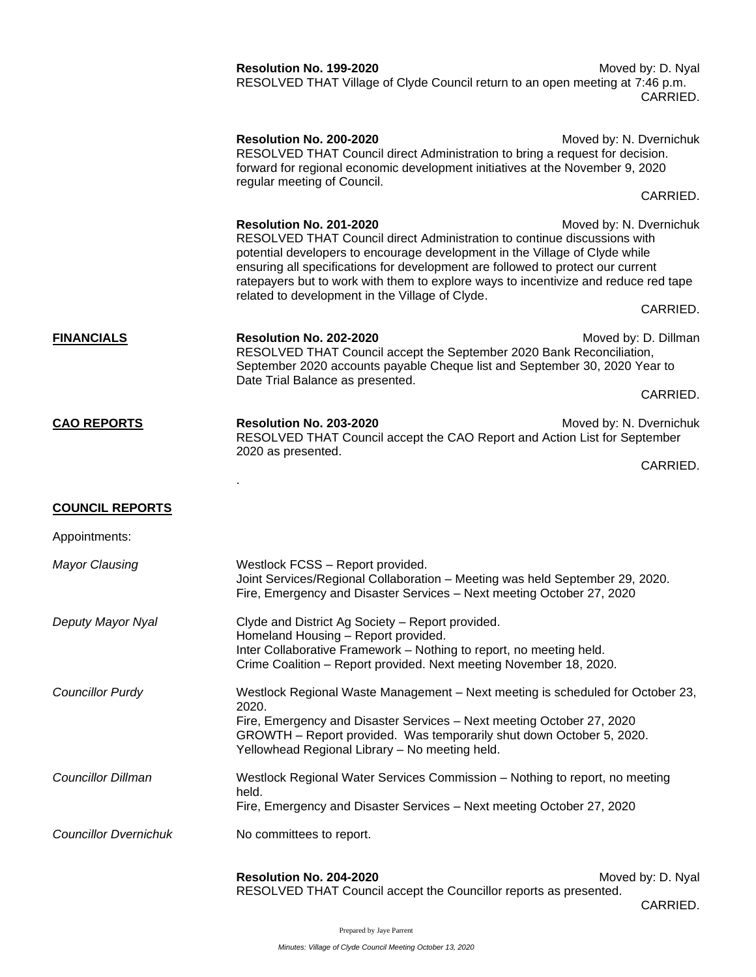|                              | Resolution No. 199-2020<br>RESOLVED THAT Village of Clyde Council return to an open meeting at 7:46 p.m.                                                                                                                                                                                                                                                                                                        | Moved by: D. Nyal<br>CARRIED.       |  |
|------------------------------|-----------------------------------------------------------------------------------------------------------------------------------------------------------------------------------------------------------------------------------------------------------------------------------------------------------------------------------------------------------------------------------------------------------------|-------------------------------------|--|
|                              | Resolution No. 200-2020<br>RESOLVED THAT Council direct Administration to bring a request for decision.<br>forward for regional economic development initiatives at the November 9, 2020<br>regular meeting of Council.                                                                                                                                                                                         | Moved by: N. Dvernichuk             |  |
|                              |                                                                                                                                                                                                                                                                                                                                                                                                                 | CARRIED.                            |  |
|                              | Resolution No. 201-2020<br>RESOLVED THAT Council direct Administration to continue discussions with<br>potential developers to encourage development in the Village of Clyde while<br>ensuring all specifications for development are followed to protect our current<br>ratepayers but to work with them to explore ways to incentivize and reduce red tape<br>related to development in the Village of Clyde. | Moved by: N. Dvernichuk             |  |
|                              |                                                                                                                                                                                                                                                                                                                                                                                                                 | CARRIED.                            |  |
| <b>FINANCIALS</b>            | Resolution No. 202-2020<br>RESOLVED THAT Council accept the September 2020 Bank Reconciliation,<br>September 2020 accounts payable Cheque list and September 30, 2020 Year to                                                                                                                                                                                                                                   | Moved by: D. Dillman                |  |
|                              | Date Trial Balance as presented.                                                                                                                                                                                                                                                                                                                                                                                | CARRIED.                            |  |
| <b>CAO REPORTS</b>           | Resolution No. 203-2020<br>RESOLVED THAT Council accept the CAO Report and Action List for September<br>2020 as presented.                                                                                                                                                                                                                                                                                      | Moved by: N. Dvernichuk             |  |
|                              |                                                                                                                                                                                                                                                                                                                                                                                                                 | CARRIED.                            |  |
| <b>COUNCIL REPORTS</b>       |                                                                                                                                                                                                                                                                                                                                                                                                                 |                                     |  |
| Appointments:                |                                                                                                                                                                                                                                                                                                                                                                                                                 |                                     |  |
| <b>Mayor Clausing</b>        | Westlock FCSS - Report provided.<br>Joint Services/Regional Collaboration - Meeting was held September 29, 2020.<br>Fire, Emergency and Disaster Services - Next meeting October 27, 2020                                                                                                                                                                                                                       |                                     |  |
| Deputy Mayor Nyal            | Clyde and District Ag Society - Report provided.<br>Homeland Housing - Report provided.<br>Inter Collaborative Framework - Nothing to report, no meeting held.<br>Crime Coalition - Report provided. Next meeting November 18, 2020.                                                                                                                                                                            |                                     |  |
| <b>Councillor Purdy</b>      | Westlock Regional Waste Management - Next meeting is scheduled for October 23,<br>2020.<br>Fire, Emergency and Disaster Services - Next meeting October 27, 2020<br>GROWTH - Report provided. Was temporarily shut down October 5, 2020.<br>Yellowhead Regional Library - No meeting held.                                                                                                                      |                                     |  |
| <b>Councillor Dillman</b>    | Westlock Regional Water Services Commission - Nothing to report, no meeting<br>held.<br>Fire, Emergency and Disaster Services - Next meeting October 27, 2020                                                                                                                                                                                                                                                   |                                     |  |
| <b>Councillor Dvernichuk</b> | No committees to report.                                                                                                                                                                                                                                                                                                                                                                                        |                                     |  |
|                              | Resolution No. 204-2020<br>RESOLVED THAT Council accept the Councillor reports as presented.                                                                                                                                                                                                                                                                                                                    | Moved by: D. Nyal<br><b>CARRIED</b> |  |

CARRIED.